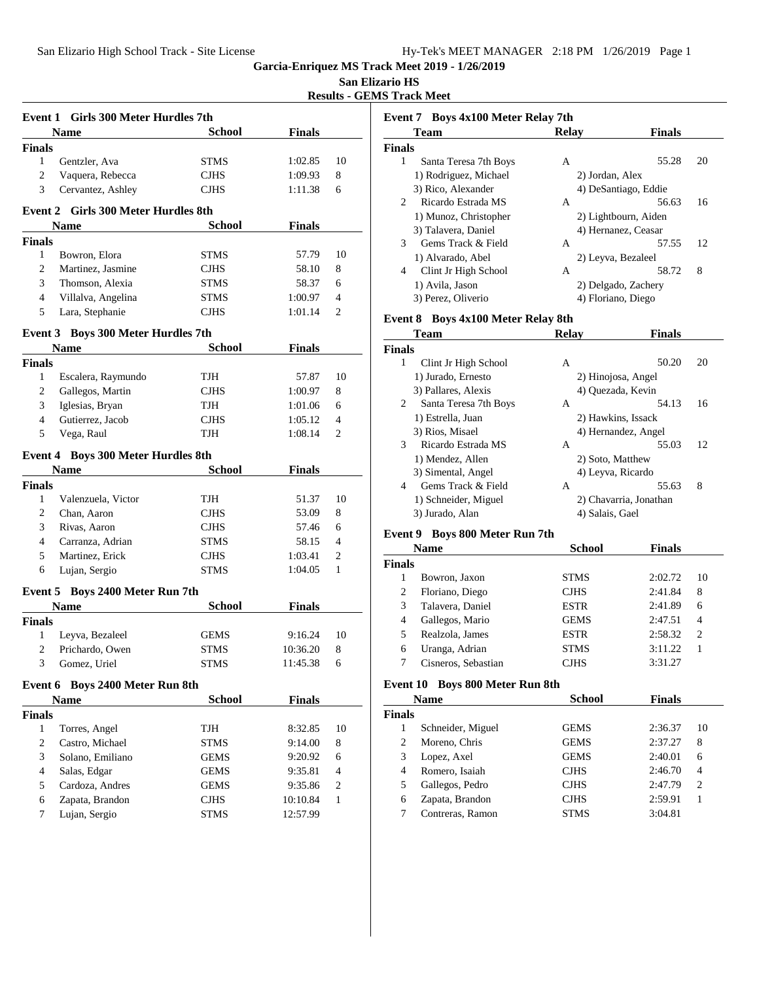**San Elizario HS**

**Results - GEMS Track Meet**

| Event 1 Girls 300 Meter Hurdles 7th |                                            |               |               |    |  |
|-------------------------------------|--------------------------------------------|---------------|---------------|----|--|
|                                     | Name                                       | School        | <b>Finals</b> |    |  |
| <b>Finals</b>                       |                                            |               |               |    |  |
| 1                                   | Gentzler, Ava                              | STMS          | 1:02.85       | 10 |  |
| $\overline{c}$                      | Vaquera, Rebecca                           | <b>CJHS</b>   | 1:09.93       | 8  |  |
| 3                                   | Cervantez, Ashley                          | <b>CJHS</b>   | 1:11.38       | 6  |  |
|                                     |                                            |               |               |    |  |
|                                     | <b>Event 2 Girls 300 Meter Hurdles 8th</b> |               |               |    |  |
|                                     | Name                                       | School        | <b>Finals</b> |    |  |
| <b>Finals</b>                       |                                            |               |               |    |  |
| 1                                   | Bowron, Elora                              | <b>STMS</b>   | 57.79         | 10 |  |
| 2                                   | Martinez, Jasmine                          | <b>CJHS</b>   | 58.10         | 8  |  |
| 3                                   | Thomson, Alexia                            | <b>STMS</b>   | 58.37         | 6  |  |
| 4                                   | Villalva, Angelina                         | <b>STMS</b>   | 1:00.97       | 4  |  |
| 5                                   | Lara, Stephanie                            | <b>CJHS</b>   | 1:01.14       | 2  |  |
|                                     | Event 3 Boys 300 Meter Hurdles 7th         |               |               |    |  |
|                                     | Name                                       | <b>School</b> | <b>Finals</b> |    |  |
| <b>Finals</b>                       |                                            |               |               |    |  |
| 1                                   | Escalera, Raymundo                         | TJH           | 57.87         | 10 |  |
| 2                                   | Gallegos, Martin                           | <b>CJHS</b>   | 1:00.97       | 8  |  |
| 3                                   | Iglesias, Bryan                            | TJH           | 1:01.06       | 6  |  |
| 4                                   | Gutierrez, Jacob                           | <b>CJHS</b>   | 1:05.12       | 4  |  |
| 5                                   | Vega, Raul                                 | TJH           | 1:08.14       | 2  |  |
|                                     |                                            |               |               |    |  |
|                                     | <b>Event 4 Boys 300 Meter Hurdles 8th</b>  |               |               |    |  |
|                                     | Name                                       | <b>School</b> | <b>Finals</b> |    |  |
| <b>Finals</b>                       |                                            |               |               |    |  |
| 1                                   | Valenzuela, Victor                         | TJH           | 51.37         | 10 |  |
| 2                                   | Chan, Aaron                                | <b>CJHS</b>   | 53.09         | 8  |  |
| 3                                   | Rivas, Aaron                               | <b>CJHS</b>   | 57.46         | 6  |  |
| 4                                   | Carranza, Adrian                           | <b>STMS</b>   | 58.15         | 4  |  |
| 5                                   | Martinez, Erick                            | <b>CJHS</b>   | 1:03.41       | 2  |  |
| 6                                   | Lujan, Sergio                              | STMS          | 1:04.05       | 1  |  |
|                                     | Event 5 Boys 2400 Meter Run 7th            |               |               |    |  |
|                                     | Name                                       | School        | <b>Finals</b> |    |  |
| <b>Finals</b>                       |                                            |               |               |    |  |
| 1                                   | Leyva, Bezaleel                            | GEMS          | 9:16.24       | 10 |  |
| 2                                   | Prichardo, Owen                            | STMS          | 10:36.20      | 8  |  |
| 3                                   | Gomez, Uriel                               | <b>STMS</b>   | 11:45.38      | 6  |  |
|                                     |                                            |               |               |    |  |
| Event 6                             | <b>Boys 2400 Meter Run 8th</b>             |               |               |    |  |
|                                     | <b>Name</b>                                | <b>School</b> | <b>Finals</b> |    |  |
| <b>Finals</b>                       |                                            |               |               |    |  |
| $\mathbf{1}$                        | Torres, Angel                              | TJH           | 8:32.85       | 10 |  |
| 2                                   | Castro, Michael                            | <b>STMS</b>   | 9:14.00       | 8  |  |
| 3<br>$\overline{4}$                 | Solano, Emiliano                           | GEMS          | 9:20.92       | 6  |  |
|                                     | Salas, Edgar                               | GEMS          | 9:35.81       | 4  |  |
| 5                                   | Cardoza, Andres                            | GEMS          | 9:35.86       | 2  |  |
| 6                                   | Zapata, Brandon                            | CJHS          | 10:10.84      | 1  |  |
| 7                                   | Lujan, Sergio                              | STMS          | 12:57.99      |    |  |
|                                     |                                            |               |               |    |  |

| <b>Team</b>                                       | <b>Relay</b>    | <b>Finals</b>        |    |
|---------------------------------------------------|-----------------|----------------------|----|
| <b>Finals</b>                                     |                 |                      |    |
| 1<br>Santa Teresa 7th Boys                        | A               | 55.28                | 20 |
| 1) Rodriguez, Michael                             | 2) Jordan, Alex |                      |    |
| 3) Rico, Alexander                                |                 | 4) DeSantiago, Eddie |    |
| Ricardo Estrada MS<br>$\mathcal{D}_{\mathcal{L}}$ | A               | 56.63                | 16 |
| 1) Munoz, Christopher                             |                 | 2) Lightbourn, Aiden |    |
| 3) Talavera, Daniel                               |                 | 4) Hernanez, Ceasar  |    |
| 3<br>Gems Track & Field                           | A               | 57.55                | 12 |
| 1) Alvarado, Abel                                 |                 | 2) Leyva, Bezaleel   |    |
| Clint Jr High School<br>4                         | A               | 58.72                | 8  |
| 1) Avila, Jason                                   |                 | 2) Delgado, Zachery  |    |
| 3) Perez, Oliverio                                |                 | 4) Floriano, Diego   |    |

# **Event 8 Boys 4x100 Meter Relay 8th**

|               | <b>Finals</b><br><b>Team</b><br><b>Relav</b> |                   |                        |    |
|---------------|----------------------------------------------|-------------------|------------------------|----|
| <b>Finals</b> |                                              |                   |                        |    |
| 1             | Clint Jr High School                         | A                 | 50.20                  | 20 |
|               | 1) Jurado, Ernesto                           |                   | 2) Hinojosa, Angel     |    |
|               | 3) Pallares, Alexis                          | 4) Ouezada, Kevin |                        |    |
| 2             | Santa Teresa 7th Boys                        | A                 | 54.13                  | 16 |
|               | 1) Estrella, Juan                            |                   | 2) Hawkins, Issack     |    |
|               | 3) Rios, Misael                              |                   | 4) Hernandez, Angel    |    |
| 3             | Ricardo Estrada MS                           | A                 | 55.03                  | 12 |
|               | 1) Mendez, Allen                             | 2) Soto, Matthew  |                        |    |
|               | 3) Simental, Angel                           | 4) Leyva, Ricardo |                        |    |
| 4             | Gems Track & Field                           | A                 | 55.63                  | 8  |
|               | 1) Schneider, Miguel                         |                   | 2) Chavarria, Jonathan |    |
|               | 3) Jurado, Alan                              | 4) Salais, Gael   |                        |    |

# **Event 9 Boys 800 Meter Run 7th**

| <b>Name</b>   |                     | <b>School</b> | <b>Finals</b> |    |
|---------------|---------------------|---------------|---------------|----|
| <b>Finals</b> |                     |               |               |    |
|               | Bowron, Jaxon       | <b>STMS</b>   | 2:02.72       | 10 |
| 2             | Floriano, Diego     | <b>CJHS</b>   | 2:41.84       | 8  |
| 3             | Talavera, Daniel    | <b>ESTR</b>   | 2:41.89       | 6  |
| 4             | Gallegos, Mario     | <b>GEMS</b>   | 2:47.51       | 4  |
| 5             | Realzola, James     | <b>ESTR</b>   | 2:58.32       | 2  |
| 6             | Uranga, Adrian      | <b>STMS</b>   | 3:11.22       |    |
|               | Cisneros, Sebastian | <b>CJHS</b>   | 3:31.27       |    |

# **Event 10 Boys 800 Meter Run 8th**

| <b>Name</b>       | <b>School</b> | <b>Finals</b> |                |
|-------------------|---------------|---------------|----------------|
|                   |               |               |                |
| Schneider, Miguel | <b>GEMS</b>   | 2:36.37       | 10             |
| Moreno, Chris     | <b>GEMS</b>   | 2:37.27       | 8              |
| Lopez, Axel       | <b>GEMS</b>   | 2:40.01       | 6              |
| Romero, Isaiah    | <b>CJHS</b>   | 2:46.70       | 4              |
| Gallegos, Pedro   | <b>CJHS</b>   | 2:47.79       | $\overline{c}$ |
| Zapata, Brandon   | <b>CJHS</b>   | 2:59.91       |                |
| Contreras, Ramon  | <b>STMS</b>   | 3:04.81       |                |
|                   |               |               |                |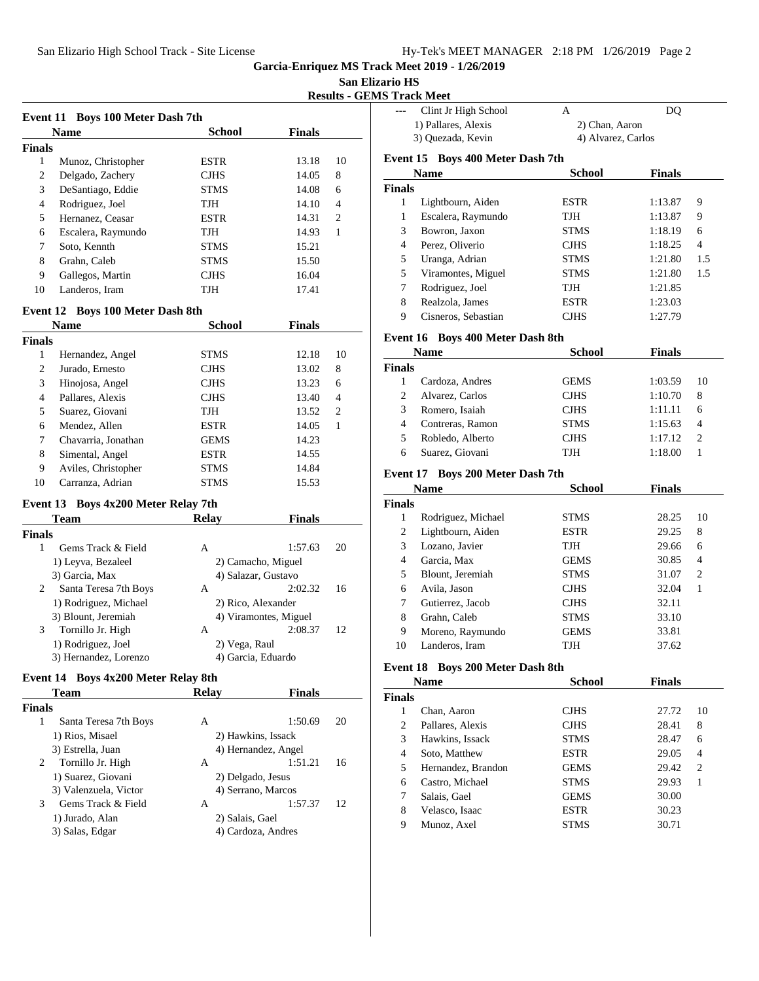### **San Elizario HS**

**Results - GEMS Track Meet**

| Event 11 Boys 100 Meter Dash 7th |                                     |                       |               |    |
|----------------------------------|-------------------------------------|-----------------------|---------------|----|
|                                  | Name                                | <b>School</b>         | <b>Finals</b> |    |
| <b>Finals</b>                    |                                     |                       |               |    |
| 1                                | Munoz, Christopher                  | <b>ESTR</b>           | 13.18         | 10 |
| $\overline{c}$                   | Delgado, Zachery                    | <b>CJHS</b>           | 14.05         | 8  |
| 3                                | DeSantiago, Eddie                   | <b>STMS</b>           | 14.08         | 6  |
| 4                                | Rodriguez, Joel                     | TJH                   | 14.10         | 4  |
| 5                                | Hernanez, Ceasar                    | <b>ESTR</b>           | 14.31         | 2  |
| 6                                | Escalera, Raymundo                  | TJH                   | 14.93         | 1  |
| 7                                | Soto, Kennth                        | <b>STMS</b>           | 15.21         |    |
| 8                                | Grahn, Caleb                        | <b>STMS</b>           | 15.50         |    |
| 9                                | Gallegos, Martin                    | <b>CJHS</b>           | 16.04         |    |
| 10                               | Landeros, Iram                      | TJH                   | 17.41         |    |
|                                  |                                     |                       |               |    |
|                                  | Event 12 Boys 100 Meter Dash 8th    |                       |               |    |
|                                  | Name                                | <b>School</b>         | <b>Finals</b> |    |
| <b>Finals</b>                    |                                     |                       |               |    |
| 1                                | Hernandez, Angel                    | <b>STMS</b>           | 12.18         | 10 |
| $\overline{c}$                   | Jurado, Ernesto                     | <b>CJHS</b>           | 13.02         | 8  |
| 3                                | Hinojosa, Angel                     | <b>CJHS</b>           | 13.23         | 6  |
| 4                                | Pallares, Alexis                    | <b>CJHS</b>           | 13.40         | 4  |
| 5                                | Suarez, Giovani                     | TJH                   | 13.52         | 2  |
| 6                                | Mendez, Allen                       | <b>ESTR</b>           | 14.05         | 1  |
| 7                                | Chavarria, Jonathan                 | <b>GEMS</b>           | 14.23         |    |
| 8                                | Simental, Angel                     | <b>ESTR</b>           | 14.55         |    |
| 9                                | Aviles, Christopher                 | <b>STMS</b>           | 14.84         |    |
| 10                               | Carranza, Adrian                    | STMS                  | 15.53         |    |
|                                  |                                     |                       |               |    |
|                                  | Event 13 Boys 4x200 Meter Relay 7th |                       |               |    |
|                                  | Team                                | <b>Relay</b>          | <b>Finals</b> |    |
| <b>Finals</b>                    |                                     |                       |               |    |
| 1                                | Gems Track & Field                  | A                     | 1:57.63       | 20 |
|                                  | 1) Leyva, Bezaleel                  | 2) Camacho, Miguel    |               |    |
|                                  | 3) Garcia, Max                      | 4) Salazar, Gustavo   |               |    |
| 2                                | Santa Teresa 7th Boys               | A                     | 2:02.32       | 16 |
|                                  | 1) Rodriguez, Michael               | 2) Rico, Alexander    |               |    |
|                                  | 3) Blount, Jeremiah                 | 4) Viramontes, Miguel |               |    |
| 3                                | Tornillo Jr. High                   | A                     | 2:08.37       | 12 |
|                                  | 1) Rodriguez, Joel                  | 2) Vega, Raul         |               |    |
|                                  | 3) Hernandez, Lorenzo               | 4) Garcia, Eduardo    |               |    |
|                                  | Event 14 Boys 4x200 Meter Relay 8th |                       |               |    |
|                                  | Team                                | <b>Relay</b>          | <b>Finals</b> |    |
| <b>Finals</b>                    |                                     |                       |               |    |
| 1                                | Santa Teresa 7th Boys               | A                     | 1:50.69       | 20 |
|                                  | 1) Rios, Misael                     | 2) Hawkins, Issack    |               |    |
|                                  | 3) Estrella, Juan                   | 4) Hernandez, Angel   |               |    |
| 2                                | Tornillo Jr. High                   | A                     | 1:51.21       | 16 |
|                                  | 1) Suarez, Giovani                  | 2) Delgado, Jesus     |               |    |
|                                  | 3) Valenzuela, Victor               | 4) Serrano, Marcos    |               |    |
| 3                                | Gems Track & Field                  | A                     | 1:57.37       | 12 |
|                                  | 1) Jurado, Alan                     | 2) Salais, Gael       |               |    |
|                                  | 3) Salas, Edgar                     | 4) Cardoza, Andres    |               |    |
|                                  |                                     |                       |               |    |

|                | Clint Jr High School           | A                  | DQ            |                  |
|----------------|--------------------------------|--------------------|---------------|------------------|
|                | 1) Pallares, Alexis            | 2) Chan, Aaron     |               |                  |
|                | 3) Quezada, Kevin              | 4) Alvarez, Carlos |               |                  |
| Event 15       | <b>Boys 400 Meter Dash 7th</b> |                    |               |                  |
|                | <b>Name</b>                    | <b>School</b>      | <b>Finals</b> |                  |
| <b>Finals</b>  |                                |                    |               |                  |
| $\mathbf{1}$   | Lightbourn, Aiden              | ESTR               | 1:13.87       | 9                |
| $\mathbf{1}$   | Escalera, Raymundo             | TJH                | 1:13.87       | 9                |
| 3              | Bowron, Jaxon                  | STMS               | 1:18.19       | 6                |
| $\overline{4}$ | Perez, Oliverio                | CJHS               | 1:18.25       | 4                |
| 5              | Uranga, Adrian                 | <b>STMS</b>        | 1:21.80       | 1.5              |
| 5              | Viramontes, Miguel             | STMS               | 1:21.80       | 1.5              |
| 7              | Rodriguez, Joel                | TJH                | 1:21.85       |                  |
| 8              | Realzola, James                | <b>ESTR</b>        | 1:23.03       |                  |
| 9              | Cisneros, Sebastian            | <b>CJHS</b>        | 1:27.79       |                  |
|                |                                |                    |               |                  |
| Event 16       | <b>Boys 400 Meter Dash 8th</b> |                    |               |                  |
|                | <b>Name</b>                    | <b>School</b>      | <b>Finals</b> |                  |
| <b>Finals</b>  |                                |                    |               |                  |
| 1              | Cardoza, Andres                | GEMS               | 1:03.59       | 10               |
| $\overline{c}$ | Alvarez, Carlos                | CJHS               | 1:10.70       | 8                |
| 3              | Romero, Isaiah                 | CJHS               | 1:11.11       | 6                |
| $\overline{4}$ | Contreras, Ramon               | STMS               | 1:15.63       | 4                |
| 5              | Robledo, Alberto               | CJHS               | 1:17.12       | 2                |
| 6              | Suarez, Giovani                | TJH                | 1:18.00       | 1                |
| Event 17       | <b>Boys 200 Meter Dash 7th</b> |                    |               |                  |
|                | <b>Name</b>                    | <b>School</b>      | <b>Finals</b> |                  |
| <b>Finals</b>  |                                |                    |               |                  |
| 1              | Rodriguez, Michael             | STMS               | 28.25         | 10               |
| 2              | Lightbourn, Aiden              | <b>ESTR</b>        | 29.25         | 8                |
| 3              | Lozano, Javier                 | TJH                | 29.66         | 6                |
| 4              | Garcia, Max                    | GEMS               | 30.85         | 4                |
| 5              | Blount, Jeremiah               | STMS               | 31.07         | 2                |
| 6              | Avila, Jason                   | CJHS               | 32.04         | 1                |
| 7              | Gutierrez, Jacob               | <b>CJHS</b>        | 32.11         |                  |
| 8              | Grahn, Caleb                   | STMS               | 33.10         |                  |
| 9              | Moreno, Raymundo               | GEMS               | 33.81         |                  |
| 10             | Landeros, Iram                 | TJH                | 37.62         |                  |
|                |                                |                    |               |                  |
| Event 18       | <b>Boys 200 Meter Dash 8th</b> |                    |               |                  |
|                | <b>Name</b>                    | <b>School</b>      | <b>Finals</b> |                  |
| Finals         |                                |                    |               |                  |
| $\mathbf{1}$   | Chan, Aaron                    | CJHS               | 27.72         | 10               |
| $\overline{c}$ | Pallares, Alexis               | <b>CJHS</b>        | 28.41         | 8                |
| 3              | Hawkins, Issack                | <b>STMS</b>        | 28.47         | 6                |
| 4              | Soto, Matthew                  | ESTR               | 29.05         | 4                |
| 5              | Hernandez, Brandon             | GEMS               | 29.42         | $\boldsymbol{2}$ |
| 6              | Castro, Michael                | STMS               | 29.93         | 1                |
| 7              | Salais, Gael                   | GEMS               | 30.00         |                  |
| 8              | Velasco, Isaac                 | ESTR               | 30.23         |                  |
| 9              | Munoz, Axel                    | <b>STMS</b>        | 30.71         |                  |
|                |                                |                    |               |                  |
|                |                                |                    |               |                  |
|                |                                |                    |               |                  |
|                |                                |                    |               |                  |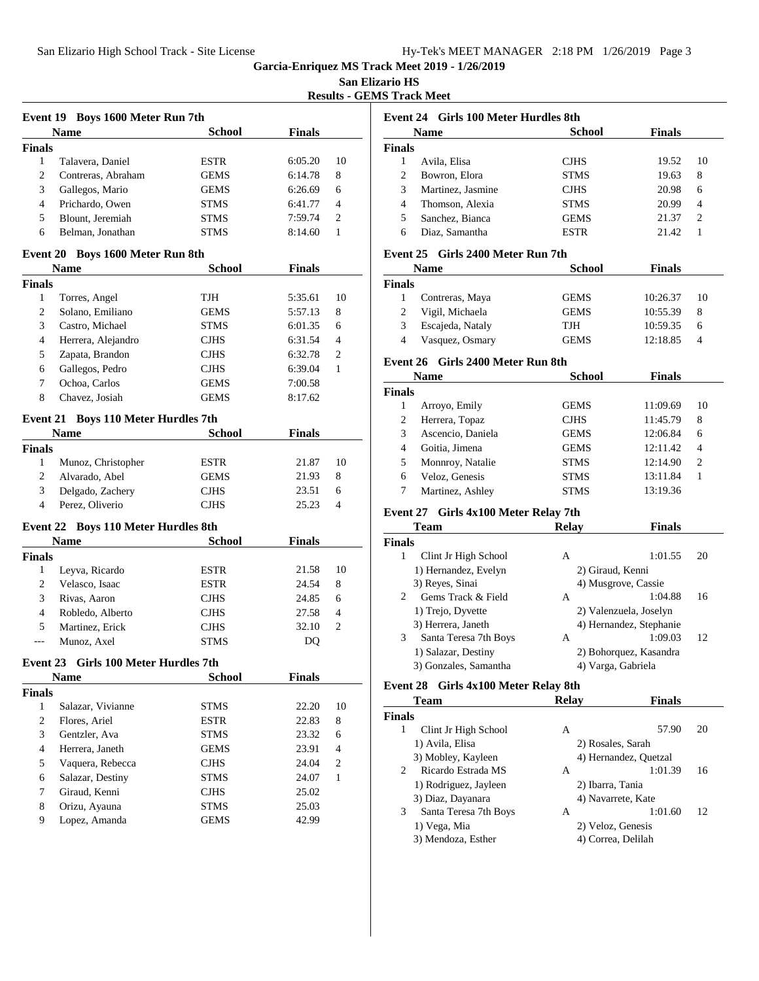**San Elizario HS**

**Results - GEMS Track Meet**

|                                     |                                                    | Event 19 Boys 1600 Meter Run 7th |               |                  |
|-------------------------------------|----------------------------------------------------|----------------------------------|---------------|------------------|
|                                     | <b>Name</b>                                        | <b>School</b>                    | <b>Finals</b> |                  |
| <b>Finals</b>                       |                                                    |                                  |               |                  |
| $\mathbf{1}$                        | Talavera, Daniel                                   | ESTR                             | 6:05.20       | 10               |
| $\mathfrak{2}$                      | Contreras, Abraham                                 | <b>GEMS</b>                      | 6:14.78       | 8                |
| 3                                   | Gallegos, Mario                                    | <b>GEMS</b>                      | 6:26.69       | 6                |
| 4                                   | Prichardo, Owen                                    | STMS                             | 6:41.77       | 4                |
| 5                                   | Blount, Jeremiah                                   | STMS                             | 7:59.74       | 2                |
| 6                                   | Belman, Jonathan                                   | <b>STMS</b>                      | 8:14.60       | $\mathbf{1}$     |
|                                     | Event 20 Boys 1600 Meter Run 8th                   |                                  |               |                  |
|                                     | Name                                               | <b>School</b>                    | <b>Finals</b> |                  |
| <b>Finals</b>                       |                                                    |                                  |               |                  |
| 1                                   | Torres, Angel                                      | TJH                              | 5:35.61       | 10               |
| 2                                   | Solano, Emiliano                                   | <b>GEMS</b>                      | 5:57.13       | 8                |
| 3                                   | Castro, Michael                                    | STMS                             | 6:01.35       | 6                |
| $\overline{4}$                      | Herrera, Alejandro                                 | CJHS                             | 6:31.54       | 4                |
| 5                                   | Zapata, Brandon                                    | <b>CJHS</b>                      | 6:32.78       | 2                |
| 6                                   | Gallegos, Pedro                                    | <b>CJHS</b>                      | 6:39.04       | $\mathbf{1}$     |
| 7                                   | Ochoa, Carlos                                      | <b>GEMS</b>                      | 7:00.58       |                  |
| 8                                   | Chavez, Josiah                                     | <b>GEMS</b>                      | 8:17.62       |                  |
|                                     |                                                    |                                  |               |                  |
|                                     | Event 21 Boys 110 Meter Hurdles 7th<br><b>Name</b> | School                           | <b>Finals</b> |                  |
| <b>Finals</b>                       |                                                    |                                  |               |                  |
| $\mathbf{1}$                        | Munoz, Christopher                                 | <b>ESTR</b>                      | 21.87         | 10               |
| 2                                   | Alvarado, Abel                                     | <b>GEMS</b>                      | 21.93         | 8                |
| 3                                   | Delgado, Zachery                                   | <b>CJHS</b>                      | 23.51         | 6                |
|                                     | Perez, Oliverio                                    | <b>CJHS</b>                      | 25.23         | 4                |
|                                     |                                                    |                                  |               |                  |
| $\overline{4}$                      |                                                    |                                  |               |                  |
|                                     | Event 22 Boys 110 Meter Hurdles 8th                |                                  |               |                  |
|                                     | Name                                               | <b>School</b>                    | <b>Finals</b> |                  |
|                                     |                                                    |                                  |               |                  |
| $\mathbf{1}$                        | Leyva, Ricardo                                     | <b>ESTR</b>                      | 21.58         | 10               |
| 2                                   | Velasco, Isaac                                     | <b>ESTR</b>                      | 24.54         | 8                |
| 3                                   | Rivas, Aaron                                       | CJHS                             | 24.85         | 6                |
| $\overline{4}$                      | Robledo, Alberto                                   | CJHS                             | 27.58         | 4                |
| 5                                   | Martinez, Erick                                    | <b>CJHS</b>                      | 32.10         | 2                |
| ---                                 | Munoz, Axel                                        | <b>STMS</b>                      | DQ            |                  |
|                                     | Event 23 Girls 100 Meter Hurdles 7th               |                                  |               |                  |
|                                     | <b>Name</b>                                        | <b>School</b>                    | <b>Finals</b> |                  |
|                                     |                                                    |                                  |               |                  |
| $\mathbf{1}$                        | Salazar, Vivianne                                  | <b>STMS</b>                      | 22.20         | 10               |
| $\sqrt{2}$                          | Flores, Ariel                                      | ESTR                             | 22.83         | 8                |
| 3                                   | Gentzler, Ava                                      | <b>STMS</b>                      | 23.32         | 6                |
| $\overline{4}$                      | Herrera, Janeth                                    | <b>GEMS</b>                      | 23.91         | $\overline{4}$   |
| 5                                   | Vaquera, Rebecca                                   | <b>CJHS</b>                      | 24.04         | $\boldsymbol{2}$ |
| 6                                   | Salazar, Destiny                                   | <b>STMS</b>                      | 24.07         | $\mathbf{1}$     |
| 7                                   | Giraud. Kenni                                      | <b>CJHS</b>                      | 25.02         |                  |
| <b>Finals</b><br><b>Finals</b><br>8 | Orizu, Ayauna                                      | <b>STMS</b>                      | 25.03         |                  |

| Event 24 Girls 100 Meter Hurdles 8th |                   |             |               |    |
|--------------------------------------|-------------------|-------------|---------------|----|
|                                      | <b>Name</b>       | School      | <b>Finals</b> |    |
| <b>Finals</b>                        |                   |             |               |    |
|                                      | Avila, Elisa      | <b>CJHS</b> | 19.52         | 10 |
| 2                                    | Bowron, Elora     | <b>STMS</b> | 19.63         | 8  |
| 3                                    | Martinez, Jasmine | <b>CJHS</b> | 20.98         | 6  |
| 4                                    | Thomson, Alexia   | <b>STMS</b> | 20.99         | 4  |
| 5                                    | Sanchez, Bianca   | <b>GEMS</b> | 21.37         | 2  |
| 6                                    | Diaz, Samantha    | <b>ESTR</b> | 21.42         |    |

# **Event 25 Girls 2400 Meter Run 7th**

|                | <b>Name</b>      | <b>School</b> | <b>Finals</b> |     |
|----------------|------------------|---------------|---------------|-----|
| <b>Finals</b>  |                  |               |               |     |
|                | Contreras, Maya  | <b>GEMS</b>   | 10:26.37      | -10 |
|                | Vigil, Michaela  | <b>GEMS</b>   | 10:55.39      | 8   |
| 3              | Escajeda, Nataly | TJH           | 10:59.35      | 6   |
| $\overline{4}$ | Vasquez, Osmary  | <b>GEMS</b>   | 12:18.85      | 4   |

#### **Event 26 Girls 2400 Meter Run 8th**

|               | <b>Name</b>       | <b>School</b> | <b>Finals</b> |                |
|---------------|-------------------|---------------|---------------|----------------|
| <b>Finals</b> |                   |               |               |                |
|               | Arroyo, Emily     | <b>GEMS</b>   | 11:09.69      | 10             |
| 2             | Herrera, Topaz    | <b>CJHS</b>   | 11:45.79      | 8              |
| 3             | Ascencio, Daniela | <b>GEMS</b>   | 12:06.84      | 6              |
| 4             | Goitia, Jimena    | <b>GEMS</b>   | 12:11.42      | 4              |
| 5             | Monnroy, Natalie  | <b>STMS</b>   | 12:14.90      | $\overline{c}$ |
| 6             | Veloz, Genesis    | <b>STMS</b>   | 13:11.84      |                |
|               | Martinez, Ashley  | <b>STMS</b>   | 13:19.36      |                |

# **Event 27 Girls 4x100 Meter Relay 7th**

| Team                  | Relav | <b>Finals</b> |                                                                                                                                              |
|-----------------------|-------|---------------|----------------------------------------------------------------------------------------------------------------------------------------------|
| <b>Finals</b>         |       |               |                                                                                                                                              |
| Clint Jr High School  | A     | 1:01.55       | 20                                                                                                                                           |
| 1) Hernandez, Evelyn  |       |               |                                                                                                                                              |
| 3) Reyes, Sinai       |       |               |                                                                                                                                              |
| Gems Track & Field    | A     | 1:04.88       | 16                                                                                                                                           |
| 1) Trejo, Dyvette     |       |               |                                                                                                                                              |
| 3) Herrera, Janeth    |       |               |                                                                                                                                              |
| Santa Teresa 7th Boys | А     | 1:09.03       | 12                                                                                                                                           |
| 1) Salazar, Destiny   |       |               |                                                                                                                                              |
| 3) Gonzales, Samantha |       |               |                                                                                                                                              |
|                       |       |               | 2) Giraud, Kenni<br>4) Musgrove, Cassie<br>2) Valenzuela, Joselyn<br>4) Hernandez, Stephanie<br>2) Bohorquez, Kasandra<br>4) Varga, Gabriela |

#### **Event 28 Girls 4x100 Meter Relay 8th**

| <b>Team</b>                | <b>Relav</b>      | <b>Finals</b>         |    |
|----------------------------|-------------------|-----------------------|----|
| <b>Finals</b>              |                   |                       |    |
| Clint Jr High School<br>1  | A                 | 57.90                 | 20 |
| 1) Avila, Elisa            | 2) Rosales, Sarah |                       |    |
| 3) Mobley, Kayleen         |                   | 4) Hernandez, Quetzal |    |
| Ricardo Estrada MS<br>2    | A                 | 1:01.39               | 16 |
| 1) Rodriguez, Jayleen      | 2) Ibarra, Tania  |                       |    |
| 3) Diaz, Dayanara          |                   | 4) Navarrete, Kate    |    |
| 3<br>Santa Teresa 7th Boys | A                 | 1:01.60               | 12 |
| 1) Vega, Mia               | 2) Veloz, Genesis |                       |    |
| 3) Mendoza, Esther         |                   | 4) Correa, Delilah    |    |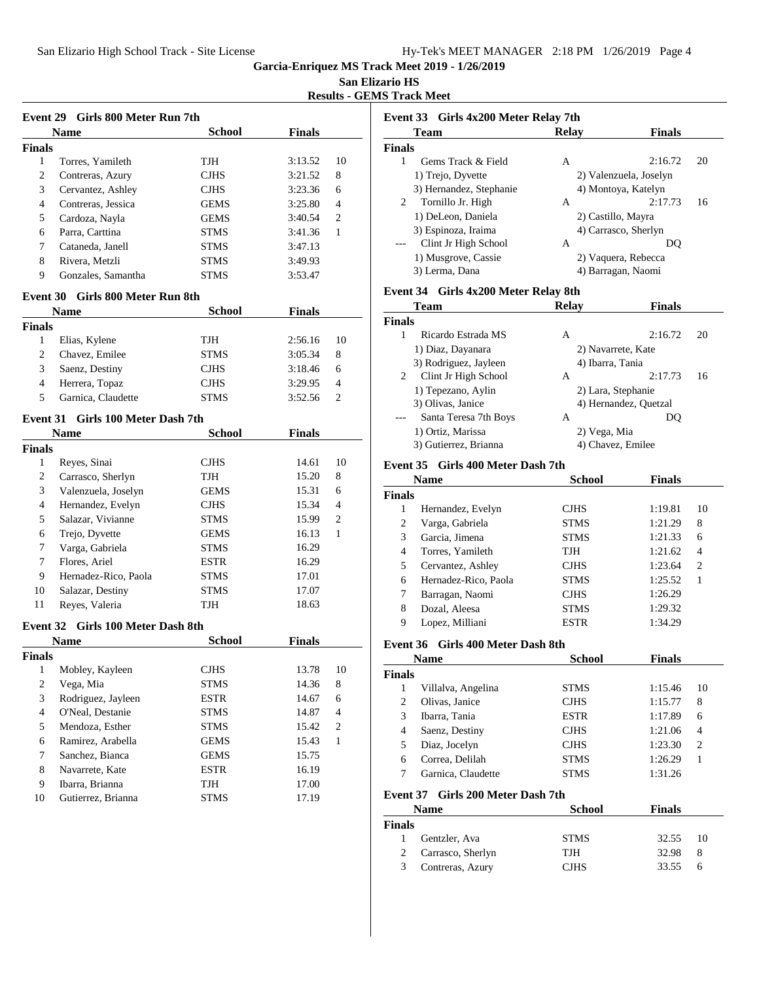**San Elizario HS**

**Results - GEMS Track Meet**

|                         | Event 29 Girls 800 Meter Run 7th  |               |               |                  |
|-------------------------|-----------------------------------|---------------|---------------|------------------|
|                         | Name                              | <b>School</b> | <b>Finals</b> |                  |
| <b>Finals</b>           |                                   |               |               |                  |
| $\mathbf{1}$            | Torres, Yamileth                  | TJH           | 3:13.52       | 10               |
| 2                       | Contreras, Azury                  | <b>CJHS</b>   | 3:21.52       | 8                |
| 3                       | Cervantez, Ashley                 | <b>CJHS</b>   | 3:23.36       | 6                |
| 4                       | Contreras, Jessica                | <b>GEMS</b>   | 3:25.80       | 4                |
| 5                       | Cardoza, Nayla                    | <b>GEMS</b>   | 3:40.54       | 2                |
| 6                       | Parra, Carttina                   | <b>STMS</b>   | 3:41.36       | 1                |
| 7                       | Cataneda, Janell                  | <b>STMS</b>   | 3:47.13       |                  |
| 8                       | Rivera, Metzli                    | <b>STMS</b>   | 3:49.93       |                  |
| 9                       | Gonzales, Samantha                | <b>STMS</b>   | 3:53.47       |                  |
|                         | Event 30 Girls 800 Meter Run 8th  |               |               |                  |
|                         | <b>Name</b>                       | <b>School</b> | <b>Finals</b> |                  |
| <b>Finals</b>           |                                   |               |               |                  |
| $\mathbf{1}$            | Elias, Kylene                     | TJH           | 2:56.16       | 10               |
| 2                       | Chavez, Emilee                    | <b>STMS</b>   | 3:05.34       | 8                |
| 3                       | Saenz, Destiny                    | <b>CJHS</b>   | 3:18.46       | 6                |
| 4                       | Herrera, Topaz                    | <b>CJHS</b>   | 3:29.95       | 4                |
| 5                       | Garnica, Claudette                | <b>STMS</b>   | 3:52.56       | 2                |
|                         | Event 31 Girls 100 Meter Dash 7th |               |               |                  |
|                         | Name                              | School        | <b>Finals</b> |                  |
| <b>Finals</b>           |                                   |               |               |                  |
| 1                       | Reyes, Sinai                      | <b>CJHS</b>   | 14.61         | 10               |
| 2                       | Carrasco, Sherlyn                 | TJH           | 15.20         | 8                |
| 3                       | Valenzuela, Joselyn               | <b>GEMS</b>   | 15.31         | 6                |
| 4                       | Hernandez, Evelyn                 | <b>CJHS</b>   | 15.34         | 4                |
| 5                       | Salazar, Vivianne                 | <b>STMS</b>   | 15.99         | 2                |
| 6                       | Trejo, Dyvette                    | <b>GEMS</b>   | 16.13         | 1                |
| 7                       | Varga, Gabriela                   | <b>STMS</b>   | 16.29         |                  |
| 7                       | Flores, Ariel                     | <b>ESTR</b>   | 16.29         |                  |
| 9                       | Hernadez-Rico, Paola              | <b>STMS</b>   | 17.01         |                  |
| 10                      | Salazar, Destiny                  | <b>STMS</b>   | 17.07         |                  |
| 11                      | Reyes, Valeria                    | TJH           | 18.63         |                  |
|                         | Event 32 Girls 100 Meter Dash 8th |               |               |                  |
|                         | <b>Name</b>                       | School        | Finals        |                  |
| <b>Finals</b>           |                                   |               |               |                  |
| $\overline{1}$          | Mobley, Kayleen                   | $\rm CJHS$    | 13.78         | 10               |
| 2                       | Vega, Mia                         | STMS          | 14.36         | 8                |
| 3                       | Rodriguez, Jayleen                | ESTR          | 14.67         | 6                |
| $\overline{\mathbf{4}}$ | O'Neal, Destanie                  | STMS          | 14.87         | $\overline{4}$   |
| 5                       | Mendoza, Esther                   | STMS          | 15.42         | $\boldsymbol{2}$ |
| 6                       | Ramirez, Arabella                 | GEMS          | 15.43         | $\mathbf{1}$     |
| 7                       | Sanchez, Bianca                   | <b>GEMS</b>   | 15.75         |                  |
| 8                       | Navarrete, Kate                   | <b>ESTR</b>   | 16.19         |                  |
| 9                       | Ibarra, Brianna                   | TJH           | 17.00         |                  |
| 10                      | Gutierrez, Brianna                | <b>STMS</b>   | 17.19         |                  |
|                         |                                   |               |               |                  |

|               | Event 33 Girls 4x200 Meter Relay 7th |       |                        |    |
|---------------|--------------------------------------|-------|------------------------|----|
| <b>Team</b>   |                                      | Relay | <b>Finals</b>          |    |
| <b>Finals</b> |                                      |       |                        |    |
| 1             | Gems Track & Field                   | A     | 2:16.72                | 20 |
|               | 1) Trejo, Dyvette                    |       | 2) Valenzuela, Joselyn |    |
|               | 3) Hernandez, Stephanie              |       | 4) Montoya, Katelyn    |    |
| 2             | Tornillo Jr. High                    | A     | 2:17.73                | 16 |
|               | 1) DeLeon, Daniela                   |       | 2) Castillo, Mayra     |    |
|               | 3) Espinoza, Iraima                  |       | 4) Carrasco, Sherlyn   |    |
|               | Clint Jr High School                 | A     | DO                     |    |
|               | 1) Musgrove, Cassie                  |       | 2) Vaquera, Rebecca    |    |
|               | 3) Lerma, Dana                       |       | 4) Barragan, Naomi     |    |

#### **Event 34 Girls 4x200 Meter Relay 8th**

| Team                  | <b>Relay</b> | <b>Finals</b> |                                                                                                                            |
|-----------------------|--------------|---------------|----------------------------------------------------------------------------------------------------------------------------|
|                       |              |               |                                                                                                                            |
| Ricardo Estrada MS    | A            | 2:16.72       | 20                                                                                                                         |
| 1) Diaz, Dayanara     |              |               |                                                                                                                            |
| 3) Rodriguez, Jayleen |              |               |                                                                                                                            |
| Clint Jr High School  | A            | 2:17.73       | 16                                                                                                                         |
| 1) Tepezano, Aylin    |              |               |                                                                                                                            |
| 3) Olivas, Janice     |              |               |                                                                                                                            |
| Santa Teresa 7th Boys | A            | DO            |                                                                                                                            |
| 1) Ortiz, Marissa     |              |               |                                                                                                                            |
| 3) Gutierrez, Brianna |              |               |                                                                                                                            |
|                       | Finals       |               | 2) Navarrete, Kate<br>4) Ibarra, Tania<br>2) Lara, Stephanie<br>4) Hernandez, Quetzal<br>2) Vega, Mia<br>4) Chavez, Emilee |

#### **Event 35 Girls 400 Meter Dash 7th**

| <b>Name</b>   |                      | <b>School</b> | <b>Finals</b> |                |
|---------------|----------------------|---------------|---------------|----------------|
| <b>Finals</b> |                      |               |               |                |
| 1             | Hernandez, Evelyn    | <b>CJHS</b>   | 1:19.81       | 10             |
| 2             | Varga, Gabriela      | <b>STMS</b>   | 1:21.29       | 8              |
| 3             | Garcia, Jimena       | <b>STMS</b>   | 1:21.33       | 6              |
| 4             | Torres, Yamileth     | TJH           | 1:21.62       | 4              |
| 5             | Cervantez, Ashley    | <b>CJHS</b>   | 1:23.64       | $\overline{c}$ |
| 6             | Hernadez-Rico, Paola | <b>STMS</b>   | 1:25.52       |                |
| 7             | Barragan, Naomi      | <b>CJHS</b>   | 1:26.29       |                |
| 8             | Dozal, Aleesa        | <b>STMS</b>   | 1:29.32       |                |
| 9             | Lopez, Milliani      | <b>ESTR</b>   | 1:34.29       |                |

#### **Event 36 Girls 400 Meter Dash 8th**

|        | <b>Name</b>        | School      | <b>Finals</b> |                |
|--------|--------------------|-------------|---------------|----------------|
| Finals |                    |             |               |                |
|        | Villalva, Angelina | <b>STMS</b> | 1:15.46       | 10             |
| 2      | Olivas, Janice     | <b>CJHS</b> | 1:15.77       | 8              |
| 3      | Ibarra, Tania      | <b>ESTR</b> | 1:17.89       | 6              |
| 4      | Saenz, Destiny     | <b>CJHS</b> | 1:21.06       | 4              |
| 5      | Diaz, Jocelyn      | <b>CJHS</b> | 1:23.30       | $\overline{2}$ |
| 6      | Correa, Delilah    | <b>STMS</b> | 1:26.29       |                |
|        | Garnica, Claudette | <b>STMS</b> | 1:31.26       |                |

#### **Event 37 Girls 200 Meter Dash 7th**

|               | <b>Name</b>       | <b>School</b> | <b>Finals</b> |     |
|---------------|-------------------|---------------|---------------|-----|
| <b>Finals</b> |                   |               |               |     |
|               | Gentzler, Ava     | <b>STMS</b>   | 32.55         | -10 |
| 2             | Carrasco, Sherlyn | <b>TJH</b>    | 32.98         | 8   |
| 3             | Contreras, Azury  | <b>CJHS</b>   | 33.55         | h   |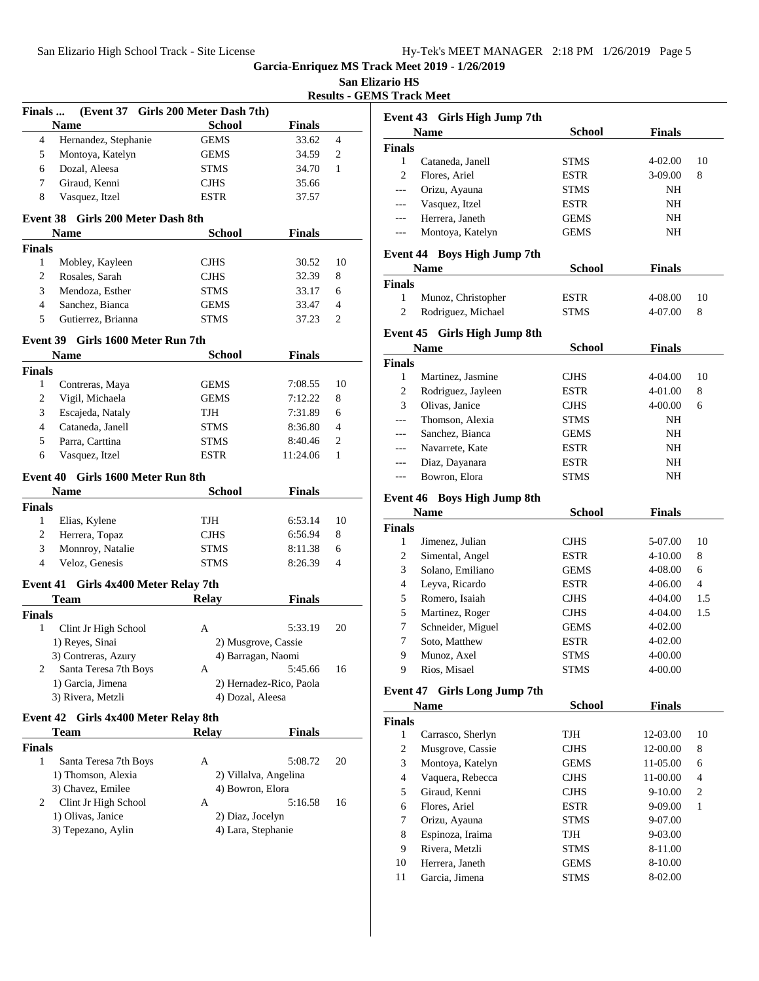**San Elizario HS**

**Results - GEMS Track Meet**

| (Event 37 Girls 200 Meter Dash 7th)<br><b>School</b><br><b>Name</b><br><b>Finals</b><br>Hernandez, Stephanie<br>4<br><b>GEMS</b><br>33.62<br>5<br>Montoya, Katelyn<br><b>GEMS</b><br>34.59<br>Dozal, Aleesa<br>6<br><b>STMS</b><br>34.70<br>Giraud, Kenni<br>7<br>35.66<br><b>CJHS</b><br>8<br>Vasquez, Itzel<br>ESTR<br>37.57<br>Event 38 Girls 200 Meter Dash 8th<br><b>School</b><br><b>Finals</b><br><b>Name</b><br><b>Finals</b><br>$\mathbf{1}$<br><b>CJHS</b><br>Mobley, Kayleen<br>30.52<br>2<br>Rosales, Sarah<br><b>CJHS</b><br>32.39<br>3<br>Mendoza, Esther<br>33.17<br><b>STMS</b><br>4<br>Sanchez, Bianca<br><b>GEMS</b><br>33.47<br>5<br>Gutierrez, Brianna<br><b>STMS</b><br>37.23<br>Event 39 Girls 1600 Meter Run 7th<br><b>School</b><br><b>Finals</b><br>Name<br><b>Finals</b><br>$\mathbf{1}$<br>Contreras, Maya<br>GEMS<br>7:08.55<br>$\overline{c}$<br>Vigil, Michaela<br>7:12.22<br><b>GEMS</b><br>3<br>Escajeda, Nataly<br>TJH<br>7:31.89<br>$\overline{4}$<br>Cataneda, Janell<br><b>STMS</b><br>8:36.80<br>5<br>Parra, Carttina<br>8:40.46<br>STMS<br>6<br>Vasquez, Itzel<br>11:24.06<br><b>ESTR</b><br>Event 40 Girls 1600 Meter Run 8th<br><b>School</b><br><b>Finals</b><br>Name<br><b>Finals</b><br>1<br>Elias, Kylene<br>TJH<br>6:53.14<br>$\overline{c}$<br>Herrera, Topaz<br>6:56.94<br><b>CJHS</b><br>3<br>Monnroy, Natalie<br>8:11.38<br>STMS<br>$\overline{4}$<br>Veloz, Genesis<br>8:26.39<br><b>STMS</b><br>Event 41 Girls 4x400 Meter Relay 7th | $\overline{4}$<br>$\overline{c}$<br>$\mathbf{1}$<br>10<br>8<br>6<br>$\overline{4}$<br>2<br>10<br>8<br>6<br>4<br>2 |
|-----------------------------------------------------------------------------------------------------------------------------------------------------------------------------------------------------------------------------------------------------------------------------------------------------------------------------------------------------------------------------------------------------------------------------------------------------------------------------------------------------------------------------------------------------------------------------------------------------------------------------------------------------------------------------------------------------------------------------------------------------------------------------------------------------------------------------------------------------------------------------------------------------------------------------------------------------------------------------------------------------------------------------------------------------------------------------------------------------------------------------------------------------------------------------------------------------------------------------------------------------------------------------------------------------------------------------------------------------------------------------------------------------------------------------------------------------------------------------------------|-------------------------------------------------------------------------------------------------------------------|
|                                                                                                                                                                                                                                                                                                                                                                                                                                                                                                                                                                                                                                                                                                                                                                                                                                                                                                                                                                                                                                                                                                                                                                                                                                                                                                                                                                                                                                                                                         |                                                                                                                   |
|                                                                                                                                                                                                                                                                                                                                                                                                                                                                                                                                                                                                                                                                                                                                                                                                                                                                                                                                                                                                                                                                                                                                                                                                                                                                                                                                                                                                                                                                                         |                                                                                                                   |
|                                                                                                                                                                                                                                                                                                                                                                                                                                                                                                                                                                                                                                                                                                                                                                                                                                                                                                                                                                                                                                                                                                                                                                                                                                                                                                                                                                                                                                                                                         |                                                                                                                   |
|                                                                                                                                                                                                                                                                                                                                                                                                                                                                                                                                                                                                                                                                                                                                                                                                                                                                                                                                                                                                                                                                                                                                                                                                                                                                                                                                                                                                                                                                                         |                                                                                                                   |
|                                                                                                                                                                                                                                                                                                                                                                                                                                                                                                                                                                                                                                                                                                                                                                                                                                                                                                                                                                                                                                                                                                                                                                                                                                                                                                                                                                                                                                                                                         |                                                                                                                   |
|                                                                                                                                                                                                                                                                                                                                                                                                                                                                                                                                                                                                                                                                                                                                                                                                                                                                                                                                                                                                                                                                                                                                                                                                                                                                                                                                                                                                                                                                                         |                                                                                                                   |
|                                                                                                                                                                                                                                                                                                                                                                                                                                                                                                                                                                                                                                                                                                                                                                                                                                                                                                                                                                                                                                                                                                                                                                                                                                                                                                                                                                                                                                                                                         |                                                                                                                   |
|                                                                                                                                                                                                                                                                                                                                                                                                                                                                                                                                                                                                                                                                                                                                                                                                                                                                                                                                                                                                                                                                                                                                                                                                                                                                                                                                                                                                                                                                                         |                                                                                                                   |
|                                                                                                                                                                                                                                                                                                                                                                                                                                                                                                                                                                                                                                                                                                                                                                                                                                                                                                                                                                                                                                                                                                                                                                                                                                                                                                                                                                                                                                                                                         |                                                                                                                   |
|                                                                                                                                                                                                                                                                                                                                                                                                                                                                                                                                                                                                                                                                                                                                                                                                                                                                                                                                                                                                                                                                                                                                                                                                                                                                                                                                                                                                                                                                                         |                                                                                                                   |
|                                                                                                                                                                                                                                                                                                                                                                                                                                                                                                                                                                                                                                                                                                                                                                                                                                                                                                                                                                                                                                                                                                                                                                                                                                                                                                                                                                                                                                                                                         |                                                                                                                   |
|                                                                                                                                                                                                                                                                                                                                                                                                                                                                                                                                                                                                                                                                                                                                                                                                                                                                                                                                                                                                                                                                                                                                                                                                                                                                                                                                                                                                                                                                                         |                                                                                                                   |
|                                                                                                                                                                                                                                                                                                                                                                                                                                                                                                                                                                                                                                                                                                                                                                                                                                                                                                                                                                                                                                                                                                                                                                                                                                                                                                                                                                                                                                                                                         |                                                                                                                   |
|                                                                                                                                                                                                                                                                                                                                                                                                                                                                                                                                                                                                                                                                                                                                                                                                                                                                                                                                                                                                                                                                                                                                                                                                                                                                                                                                                                                                                                                                                         |                                                                                                                   |
|                                                                                                                                                                                                                                                                                                                                                                                                                                                                                                                                                                                                                                                                                                                                                                                                                                                                                                                                                                                                                                                                                                                                                                                                                                                                                                                                                                                                                                                                                         |                                                                                                                   |
|                                                                                                                                                                                                                                                                                                                                                                                                                                                                                                                                                                                                                                                                                                                                                                                                                                                                                                                                                                                                                                                                                                                                                                                                                                                                                                                                                                                                                                                                                         |                                                                                                                   |
|                                                                                                                                                                                                                                                                                                                                                                                                                                                                                                                                                                                                                                                                                                                                                                                                                                                                                                                                                                                                                                                                                                                                                                                                                                                                                                                                                                                                                                                                                         |                                                                                                                   |
|                                                                                                                                                                                                                                                                                                                                                                                                                                                                                                                                                                                                                                                                                                                                                                                                                                                                                                                                                                                                                                                                                                                                                                                                                                                                                                                                                                                                                                                                                         |                                                                                                                   |
|                                                                                                                                                                                                                                                                                                                                                                                                                                                                                                                                                                                                                                                                                                                                                                                                                                                                                                                                                                                                                                                                                                                                                                                                                                                                                                                                                                                                                                                                                         |                                                                                                                   |
|                                                                                                                                                                                                                                                                                                                                                                                                                                                                                                                                                                                                                                                                                                                                                                                                                                                                                                                                                                                                                                                                                                                                                                                                                                                                                                                                                                                                                                                                                         |                                                                                                                   |
|                                                                                                                                                                                                                                                                                                                                                                                                                                                                                                                                                                                                                                                                                                                                                                                                                                                                                                                                                                                                                                                                                                                                                                                                                                                                                                                                                                                                                                                                                         |                                                                                                                   |
|                                                                                                                                                                                                                                                                                                                                                                                                                                                                                                                                                                                                                                                                                                                                                                                                                                                                                                                                                                                                                                                                                                                                                                                                                                                                                                                                                                                                                                                                                         |                                                                                                                   |
|                                                                                                                                                                                                                                                                                                                                                                                                                                                                                                                                                                                                                                                                                                                                                                                                                                                                                                                                                                                                                                                                                                                                                                                                                                                                                                                                                                                                                                                                                         |                                                                                                                   |
|                                                                                                                                                                                                                                                                                                                                                                                                                                                                                                                                                                                                                                                                                                                                                                                                                                                                                                                                                                                                                                                                                                                                                                                                                                                                                                                                                                                                                                                                                         | $\mathbf{1}$                                                                                                      |
|                                                                                                                                                                                                                                                                                                                                                                                                                                                                                                                                                                                                                                                                                                                                                                                                                                                                                                                                                                                                                                                                                                                                                                                                                                                                                                                                                                                                                                                                                         |                                                                                                                   |
|                                                                                                                                                                                                                                                                                                                                                                                                                                                                                                                                                                                                                                                                                                                                                                                                                                                                                                                                                                                                                                                                                                                                                                                                                                                                                                                                                                                                                                                                                         |                                                                                                                   |
|                                                                                                                                                                                                                                                                                                                                                                                                                                                                                                                                                                                                                                                                                                                                                                                                                                                                                                                                                                                                                                                                                                                                                                                                                                                                                                                                                                                                                                                                                         |                                                                                                                   |
|                                                                                                                                                                                                                                                                                                                                                                                                                                                                                                                                                                                                                                                                                                                                                                                                                                                                                                                                                                                                                                                                                                                                                                                                                                                                                                                                                                                                                                                                                         |                                                                                                                   |
|                                                                                                                                                                                                                                                                                                                                                                                                                                                                                                                                                                                                                                                                                                                                                                                                                                                                                                                                                                                                                                                                                                                                                                                                                                                                                                                                                                                                                                                                                         | 10                                                                                                                |
|                                                                                                                                                                                                                                                                                                                                                                                                                                                                                                                                                                                                                                                                                                                                                                                                                                                                                                                                                                                                                                                                                                                                                                                                                                                                                                                                                                                                                                                                                         | 8                                                                                                                 |
|                                                                                                                                                                                                                                                                                                                                                                                                                                                                                                                                                                                                                                                                                                                                                                                                                                                                                                                                                                                                                                                                                                                                                                                                                                                                                                                                                                                                                                                                                         | 6                                                                                                                 |
|                                                                                                                                                                                                                                                                                                                                                                                                                                                                                                                                                                                                                                                                                                                                                                                                                                                                                                                                                                                                                                                                                                                                                                                                                                                                                                                                                                                                                                                                                         | 4                                                                                                                 |
|                                                                                                                                                                                                                                                                                                                                                                                                                                                                                                                                                                                                                                                                                                                                                                                                                                                                                                                                                                                                                                                                                                                                                                                                                                                                                                                                                                                                                                                                                         |                                                                                                                   |
| <b>Relay</b><br><b>Finals</b><br>Team                                                                                                                                                                                                                                                                                                                                                                                                                                                                                                                                                                                                                                                                                                                                                                                                                                                                                                                                                                                                                                                                                                                                                                                                                                                                                                                                                                                                                                                   |                                                                                                                   |
| <b>Finals</b>                                                                                                                                                                                                                                                                                                                                                                                                                                                                                                                                                                                                                                                                                                                                                                                                                                                                                                                                                                                                                                                                                                                                                                                                                                                                                                                                                                                                                                                                           |                                                                                                                   |
| $\mathbf{1}$<br>Clint Jr High School<br>A<br>5:33.19                                                                                                                                                                                                                                                                                                                                                                                                                                                                                                                                                                                                                                                                                                                                                                                                                                                                                                                                                                                                                                                                                                                                                                                                                                                                                                                                                                                                                                    | 20                                                                                                                |
| 1) Reyes, Sinai<br>2) Musgrove, Cassie                                                                                                                                                                                                                                                                                                                                                                                                                                                                                                                                                                                                                                                                                                                                                                                                                                                                                                                                                                                                                                                                                                                                                                                                                                                                                                                                                                                                                                                  |                                                                                                                   |
| 3) Contreras, Azury<br>4) Barragan, Naomi                                                                                                                                                                                                                                                                                                                                                                                                                                                                                                                                                                                                                                                                                                                                                                                                                                                                                                                                                                                                                                                                                                                                                                                                                                                                                                                                                                                                                                               |                                                                                                                   |
| 5:45.66<br>2<br>Santa Teresa 7th Boys<br>A                                                                                                                                                                                                                                                                                                                                                                                                                                                                                                                                                                                                                                                                                                                                                                                                                                                                                                                                                                                                                                                                                                                                                                                                                                                                                                                                                                                                                                              | 16                                                                                                                |
| 1) Garcia, Jimena<br>2) Hernadez-Rico, Paola                                                                                                                                                                                                                                                                                                                                                                                                                                                                                                                                                                                                                                                                                                                                                                                                                                                                                                                                                                                                                                                                                                                                                                                                                                                                                                                                                                                                                                            |                                                                                                                   |
| 3) Rivera, Metzli<br>4) Dozal, Aleesa                                                                                                                                                                                                                                                                                                                                                                                                                                                                                                                                                                                                                                                                                                                                                                                                                                                                                                                                                                                                                                                                                                                                                                                                                                                                                                                                                                                                                                                   |                                                                                                                   |
| Event 42 Girls 4x400 Meter Relay 8th                                                                                                                                                                                                                                                                                                                                                                                                                                                                                                                                                                                                                                                                                                                                                                                                                                                                                                                                                                                                                                                                                                                                                                                                                                                                                                                                                                                                                                                    |                                                                                                                   |
| Relay<br><b>Finals</b><br><b>Team</b>                                                                                                                                                                                                                                                                                                                                                                                                                                                                                                                                                                                                                                                                                                                                                                                                                                                                                                                                                                                                                                                                                                                                                                                                                                                                                                                                                                                                                                                   |                                                                                                                   |
| <b>Finals</b>                                                                                                                                                                                                                                                                                                                                                                                                                                                                                                                                                                                                                                                                                                                                                                                                                                                                                                                                                                                                                                                                                                                                                                                                                                                                                                                                                                                                                                                                           |                                                                                                                   |
| $\mathbf{1}$<br>5:08.72<br>Santa Teresa 7th Boys<br>А                                                                                                                                                                                                                                                                                                                                                                                                                                                                                                                                                                                                                                                                                                                                                                                                                                                                                                                                                                                                                                                                                                                                                                                                                                                                                                                                                                                                                                   | 20                                                                                                                |
| 1) Thomson, Alexia<br>2) Villalva, Angelina                                                                                                                                                                                                                                                                                                                                                                                                                                                                                                                                                                                                                                                                                                                                                                                                                                                                                                                                                                                                                                                                                                                                                                                                                                                                                                                                                                                                                                             |                                                                                                                   |
| 3) Chavez, Emilee<br>4) Bowron, Elora                                                                                                                                                                                                                                                                                                                                                                                                                                                                                                                                                                                                                                                                                                                                                                                                                                                                                                                                                                                                                                                                                                                                                                                                                                                                                                                                                                                                                                                   |                                                                                                                   |
| 5:16.58<br>2<br>A                                                                                                                                                                                                                                                                                                                                                                                                                                                                                                                                                                                                                                                                                                                                                                                                                                                                                                                                                                                                                                                                                                                                                                                                                                                                                                                                                                                                                                                                       |                                                                                                                   |
| Clint Jr High School<br>1) Olivas, Janice                                                                                                                                                                                                                                                                                                                                                                                                                                                                                                                                                                                                                                                                                                                                                                                                                                                                                                                                                                                                                                                                                                                                                                                                                                                                                                                                                                                                                                               |                                                                                                                   |
| 2) Diaz, Jocelyn<br>3) Tepezano, Aylin<br>4) Lara, Stephanie                                                                                                                                                                                                                                                                                                                                                                                                                                                                                                                                                                                                                                                                                                                                                                                                                                                                                                                                                                                                                                                                                                                                                                                                                                                                                                                                                                                                                            | 16                                                                                                                |
|                                                                                                                                                                                                                                                                                                                                                                                                                                                                                                                                                                                                                                                                                                                                                                                                                                                                                                                                                                                                                                                                                                                                                                                                                                                                                                                                                                                                                                                                                         |                                                                                                                   |
|                                                                                                                                                                                                                                                                                                                                                                                                                                                                                                                                                                                                                                                                                                                                                                                                                                                                                                                                                                                                                                                                                                                                                                                                                                                                                                                                                                                                                                                                                         |                                                                                                                   |

|               | Event 43 Girls High Jump 7th |             |               |    |
|---------------|------------------------------|-------------|---------------|----|
|               | <b>Name</b>                  | School      | <b>Finals</b> |    |
| <b>Finals</b> |                              |             |               |    |
|               | Cataneda, Janell             | <b>STMS</b> | $4 - 02.00$   | 10 |
| 2             | Flores, Ariel                | <b>ESTR</b> | $3-09.00$     | 8  |
| $---$         | Orizu, Ayauna                | <b>STMS</b> | NH            |    |
| $---$         | Vasquez, Itzel               | <b>ESTR</b> | NH            |    |
| $---$         | Herrera, Janeth              | <b>GEMS</b> | NH            |    |
| $---$         | Montoya, Katelyn             | <b>GEMS</b> | NΗ            |    |

# **Event 44 Boys High Jump 7th**

|               | <b>Name</b>        | <b>School</b> | <b>Finals</b> |    |
|---------------|--------------------|---------------|---------------|----|
| <b>Finals</b> |                    |               |               |    |
|               | Munoz, Christopher | <b>ESTR</b>   | 4-08.00       | 10 |
|               | Rodriguez, Michael | <b>STMS</b>   | 4-07.00       | 8  |

# **Event 45 Girls High Jump 8th**

|               | <b>Name</b>        | School      | <b>Finals</b> |    |
|---------------|--------------------|-------------|---------------|----|
| <b>Finals</b> |                    |             |               |    |
|               | Martinez, Jasmine  | <b>CJHS</b> | 4-04.00       | 10 |
| 2             | Rodriguez, Jayleen | <b>ESTR</b> | 4-01.00       | 8  |
| 3             | Olivas, Janice     | <b>CJHS</b> | $4 - 00.00$   | 6  |
|               | Thomson, Alexia    | <b>STMS</b> | NH            |    |
| $\frac{1}{2}$ | Sanchez, Bianca    | <b>GEMS</b> | NH            |    |
| $---$         | Navarrete, Kate    | <b>ESTR</b> | NH            |    |
| $\frac{1}{2}$ | Diaz, Dayanara     | <b>ESTR</b> | NH            |    |
|               | Bowron, Elora      | <b>STMS</b> | NΗ            |    |

#### **Event 46 Boys High Jump 8th**

| <b>Name</b>    |                   | <b>School</b> | <b>Finals</b> |     |
|----------------|-------------------|---------------|---------------|-----|
| <b>Finals</b>  |                   |               |               |     |
| 1              | Jimenez, Julian   | <b>CJHS</b>   | 5-07.00       | 10  |
| 2              | Simental, Angel   | <b>ESTR</b>   | $4 - 10.00$   | 8   |
| 3              | Solano, Emiliano  | <b>GEMS</b>   | $4 - 08.00$   | 6   |
| $\overline{4}$ | Leyva, Ricardo    | <b>ESTR</b>   | $4 - 06.00$   | 4   |
| 5              | Romero, Isaiah    | <b>CJHS</b>   | 4-04.00       | 1.5 |
| 5              | Martinez, Roger   | <b>CJHS</b>   | $4 - 04.00$   | 1.5 |
| 7              | Schneider, Miguel | <b>GEMS</b>   | $4 - 02.00$   |     |
| 7              | Soto, Matthew     | <b>ESTR</b>   | $4 - 02.00$   |     |
| 9              | Munoz, Axel       | <b>STMS</b>   | $4 - 00.00$   |     |
| 9              | Rios, Misael      | <b>STMS</b>   | 4-00.00       |     |

# **Event 47 Girls Long Jump 7th**

| <b>Name</b>   |                   | <b>School</b> | <b>Finals</b> |                |
|---------------|-------------------|---------------|---------------|----------------|
| <b>Finals</b> |                   |               |               |                |
| 1             | Carrasco, Sherlyn | TJH           | 12-03.00      | 10             |
| 2             | Musgrove, Cassie  | <b>CJHS</b>   | 12-00.00      | 8              |
| 3             | Montoya, Katelyn  | <b>GEMS</b>   | $11-05.00$    | 6              |
| 4             | Vaquera, Rebecca  | <b>CJHS</b>   | 11-00.00      | 4              |
| 5             | Giraud, Kenni     | <b>CJHS</b>   | $9-10.00$     | $\overline{2}$ |
| 6             | Flores, Ariel     | <b>ESTR</b>   | $9 - 09.00$   | 1              |
| 7             | Orizu, Ayauna     | <b>STMS</b>   | $9-07.00$     |                |
| 8             | Espinoza, Iraima  | TJH           | 9-03.00       |                |
| 9             | Rivera, Metzli    | <b>STMS</b>   | 8-11.00       |                |
| 10            | Herrera, Janeth   | <b>GEMS</b>   | 8-10.00       |                |
| 11            | Garcia, Jimena    | <b>STMS</b>   | 8-02.00       |                |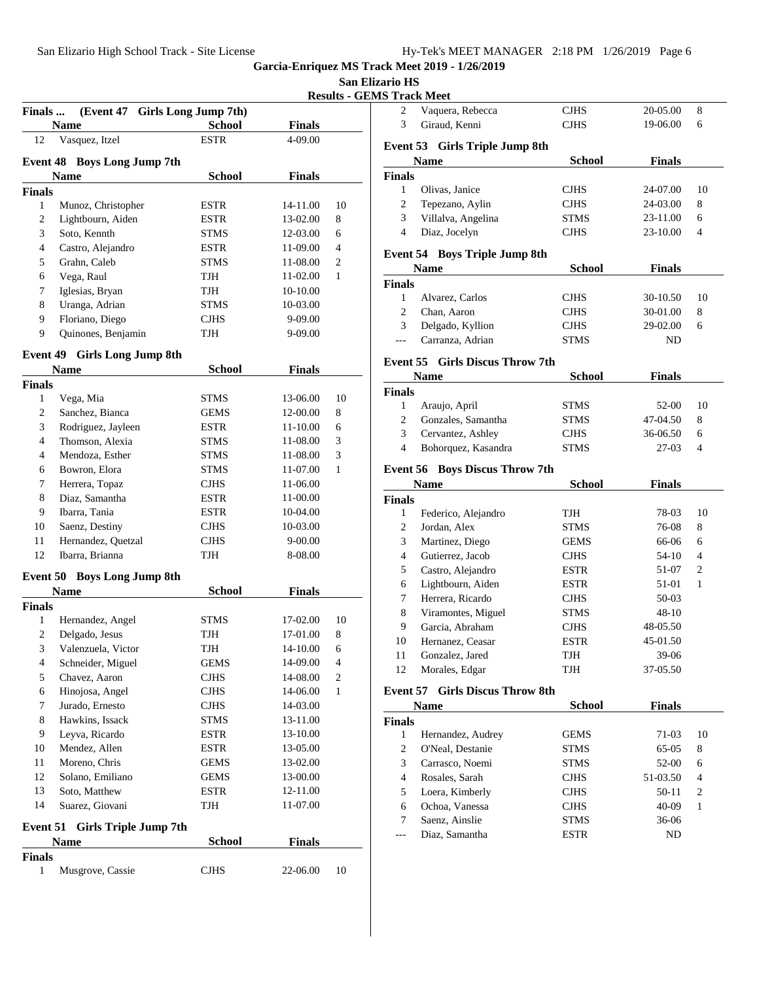# **San Elizario HS**<br> **Its CEMS Treat**

**Results - GEMS Track Meet** 

| <b>Finals</b> | (Event 47 Girls Long Jump 7th)<br>Name | <b>School</b>              | <b>Finals</b>        |                     |
|---------------|----------------------------------------|----------------------------|----------------------|---------------------|
| 12            | Vasquez, Itzel                         | <b>ESTR</b>                | 4-09.00              |                     |
|               | <b>Event 48 Boys Long Jump 7th</b>     |                            |                      |                     |
|               | <b>Name</b>                            | <b>School</b>              | <b>Finals</b>        |                     |
| <b>Finals</b> |                                        |                            |                      |                     |
| $\mathbf{1}$  | Munoz, Christopher                     | <b>ESTR</b>                | 14-11.00             | 10                  |
| 2             | Lightbourn, Aiden                      | ESTR                       | 13-02.00             | 8                   |
| 3             | Soto, Kennth                           | <b>STMS</b>                | 12-03.00             | 6                   |
| 4             | Castro, Alejandro                      | ESTR                       | 11-09.00             | 4                   |
| 5             | Grahn, Caleb                           | <b>STMS</b>                | 11-08.00             | 2                   |
| 6             | Vega, Raul                             | TJH                        | 11-02.00             | 1                   |
| 7             | Iglesias, Bryan                        | TJH                        | 10-10.00             |                     |
| 8             | Uranga, Adrian                         | <b>STMS</b>                | 10-03.00             |                     |
| 9             | Floriano, Diego                        | CJHS                       | 9-09.00              |                     |
| 9             | Quinones, Benjamin                     | TJH                        | 9-09.00              |                     |
|               | <b>Event 49 Girls Long Jump 8th</b>    |                            |                      |                     |
|               | <b>Name</b>                            | <b>School</b>              | <b>Finals</b>        |                     |
| <b>Finals</b> |                                        |                            |                      |                     |
| $\mathbf{1}$  | Vega, Mia                              | <b>STMS</b>                | 13-06.00             | 10                  |
| 2             | Sanchez, Bianca                        | <b>GEMS</b>                | 12-00.00             | 8                   |
| 3             | Rodriguez, Jayleen                     | ESTR                       | 11-10.00             | 6                   |
| 4             | Thomson, Alexia                        | <b>STMS</b>                | 11-08.00             | 3                   |
| 4             | Mendoza, Esther                        | <b>STMS</b>                | 11-08.00             | 3                   |
| 6             | Bowron, Elora                          | <b>STMS</b>                | 11-07.00             | 1                   |
| 7             | Herrera, Topaz                         | <b>CJHS</b>                | 11-06.00             |                     |
| 8             | Diaz, Samantha                         | ESTR                       | 11-00.00             |                     |
| 9             | Ibarra, Tania                          | <b>ESTR</b>                | 10-04.00             |                     |
| 10            | Saenz, Destiny                         | <b>CJHS</b>                | 10-03.00             |                     |
| 11            | Hernandez, Quetzal                     | CJHS                       | 9-00.00              |                     |
| 12            | Ibarra, Brianna                        | TJH                        | 8-08.00              |                     |
|               | Event 50 Boys Long Jump 8th            |                            |                      |                     |
|               | <b>Name</b>                            | <b>School</b>              | <b>Finals</b>        |                     |
| <b>Finals</b> |                                        |                            |                      |                     |
| $\mathbf{1}$  | Hernandez, Angel                       | STMS                       | 17-02.00             | 10                  |
| 2             | Delgado, Jesus                         | TJH                        | 17-01.00             | 8                   |
| 3             | Valenzuela, Victor                     | TJH                        | 14-10.00             | 6                   |
| 4<br>5        | Schneider, Miguel<br>Chavez, Aaron     | <b>GEMS</b><br><b>CJHS</b> | 14-09.00<br>14-08.00 | 4<br>$\mathfrak{2}$ |
|               |                                        |                            |                      |                     |
| 6             | Hinojosa, Angel                        | <b>CJHS</b>                | 14-06.00             | 1                   |
| 7             | Jurado, Ernesto                        | CJHS                       | 14-03.00             |                     |
| 8             | Hawkins, Issack                        | <b>STMS</b>                | 13-11.00             |                     |
| 9             | Leyva, Ricardo                         | ESTR                       | 13-10.00             |                     |
| 10            | Mendez, Allen                          | ESTR                       | 13-05.00             |                     |
| 11            | Moreno, Chris                          | GEMS                       | 13-02.00             |                     |
| 12            | Solano, Emiliano                       | GEMS                       | 13-00.00             |                     |
|               | Soto, Matthew<br>Suarez, Giovani       | <b>ESTR</b><br>TJH         | 12-11.00<br>11-07.00 |                     |
| 13            |                                        |                            |                      |                     |
| 14            |                                        |                            |                      |                     |
|               | Event 51 Girls Triple Jump 7th         |                            |                      |                     |
| <b>Finals</b> | Name                                   | <b>School</b>              | <b>Finals</b>        |                     |

| $\overline{c}$ | Vaquera, Rebecca                       | CJHS                       | 20-05.00      | 8              |
|----------------|----------------------------------------|----------------------------|---------------|----------------|
| 3              | Giraud, Kenni                          | CJHS                       | 19-06.00      | 6              |
|                | Event 53 Girls Triple Jump 8th         |                            |               |                |
|                | Name                                   | <b>School</b>              | <b>Finals</b> |                |
| <b>Finals</b>  |                                        |                            |               |                |
| $\mathbf{1}$   | Olivas, Janice                         | CJHS                       | 24-07.00      | 10             |
| $\overline{c}$ | Tepezano, Aylin                        | <b>CJHS</b>                | 24-03.00      | 8              |
| 3              | Villalva, Angelina                     | STMS                       | 23-11.00      | 6              |
| $\overline{4}$ | Diaz, Jocelyn                          | CJHS                       | 23-10.00      | 4              |
|                |                                        |                            |               |                |
|                | <b>Event 54 Boys Triple Jump 8th</b>   |                            |               |                |
|                | Name                                   | <b>School</b>              | <b>Finals</b> |                |
| Finals         |                                        |                            |               |                |
| 1              | Alvarez, Carlos                        | CJHS                       | 30-10.50      | 10             |
| $\overline{2}$ | Chan, Aaron                            | CJHS                       | 30-01.00      | 8              |
| 3              | Delgado, Kyllion                       | CJHS                       | 29-02.00      | 6              |
| ---            | Carranza, Adrian                       | STMS                       | ND            |                |
|                | Event 55 Girls Discus Throw 7th        |                            |               |                |
|                | <b>Name</b>                            | <b>School</b>              | <b>Finals</b> |                |
| Finals         |                                        |                            |               |                |
| $\mathbf{1}$   | Araujo, April                          | STMS                       | 52-00         | 10             |
| $\overline{c}$ | Gonzales, Samantha                     | STMS                       | 47-04.50      | 8              |
| 3              | Cervantez, Ashley                      | $\rm CJHS$                 | 36-06.50      | 6              |
| $\overline{4}$ | Bohorquez, Kasandra                    | STMS                       | $27-03$       | 4              |
|                | <b>Event 56 Boys Discus Throw 7th</b>  |                            |               |                |
|                |                                        |                            |               |                |
|                |                                        |                            |               |                |
|                | Name                                   | <b>School</b>              | <b>Finals</b> |                |
| Finals         |                                        |                            |               |                |
| 1              | Federico, Alejandro                    | TJH                        | 78-03         | 10             |
| $\overline{c}$ | Jordan, Alex                           | STMS                       | 76-08         | 8              |
| 3              | Martinez, Diego                        | GEMS                       | 66-06         | 6              |
| $\overline{4}$ | Gutierrez, Jacob                       | CJHS                       | 54-10         | 4              |
| 5              | Castro, Alejandro                      | <b>ESTR</b>                | 51-07         | 2              |
| 6              | Lightbourn, Aiden                      | <b>ESTR</b>                | 51-01         | 1              |
| 7              | Herrera, Ricardo                       | <b>CJHS</b>                | 50-03         |                |
| 8              | Viramontes, Miguel                     | STMS                       | $48 - 10$     |                |
| 9              | Garcia, Abraham                        | CJHS                       | 48-05.50      |                |
| 10<br>11       | Hernanez, Ceasar                       | <b>ESTR</b><br>TJH         | 45-01.50      |                |
|                | Gonzalez, Jared                        |                            | 39-06         |                |
| 12             | Morales, Edgar                         | TJH                        | 37-05.50      |                |
|                | <b>Event 57 Girls Discus Throw 8th</b> |                            |               |                |
|                | <b>Name</b>                            | <b>School</b>              | <b>Finals</b> |                |
| Finals         |                                        |                            |               |                |
| 1              | Hernandez, Audrey                      | GEMS                       | 71-03         | 10             |
| $\sqrt{2}$     | O'Neal, Destanie                       | STMS                       | 65-05         | 8              |
| 3              | Carrasco, Noemi                        | STMS                       | 52-00         | 6              |
| $\overline{4}$ | Rosales, Sarah                         | <b>CJHS</b>                | 51-03.50      | 4              |
| 5              | Loera, Kimberly                        | <b>CJHS</b>                | $50 - 11$     | $\overline{c}$ |
| 6              | Ochoa, Vanessa                         | <b>CJHS</b>                | 40-09         | 1              |
| 7<br>---       | Saenz, Ainslie<br>Diaz, Samantha       | <b>STMS</b><br><b>ESTR</b> | 36-06<br>ND   |                |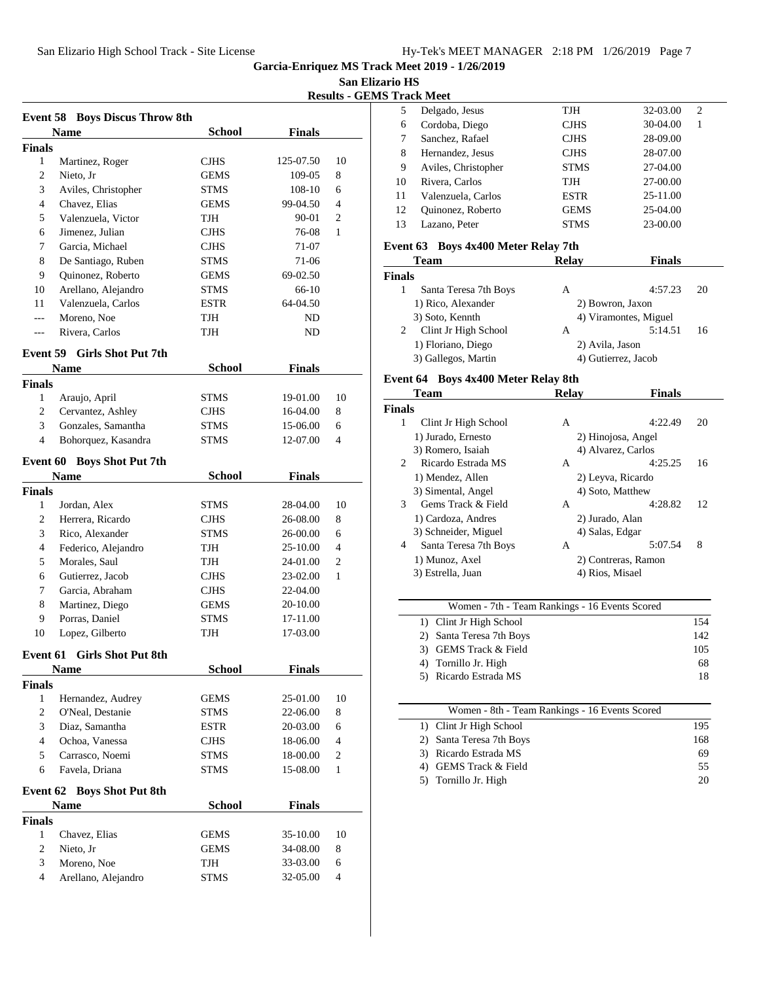**San Elizario HS**

**Results - GEMS Track Meet**

|                    | <b>Event 58 Boys Discus Throw 8th</b> |               |               |                |  |
|--------------------|---------------------------------------|---------------|---------------|----------------|--|
|                    | <b>Name</b>                           | <b>School</b> | <b>Finals</b> |                |  |
| <b>Finals</b>      |                                       |               |               |                |  |
| 1                  | Martinez, Roger                       | <b>CJHS</b>   | 125-07.50     | 10             |  |
| 2                  | Nieto, Jr                             | GEMS          | 109-05        | 8              |  |
| 3                  | Aviles, Christopher                   | STMS          | 108-10        | 6              |  |
| 4                  | Chavez, Elias                         | <b>GEMS</b>   | 99-04.50      | 4              |  |
| 5                  | Valenzuela, Victor                    | TJH           | 90-01         | $\overline{c}$ |  |
| 6                  | Jimenez, Julian                       | <b>CJHS</b>   | 76-08         | 1              |  |
| 7                  | Garcia, Michael                       | <b>CJHS</b>   | 71-07         |                |  |
| 8                  | De Santiago, Ruben                    | <b>STMS</b>   | 71-06         |                |  |
| 9                  | Quinonez, Roberto                     | <b>GEMS</b>   | 69-02.50      |                |  |
| 10                 | Arellano, Alejandro                   | <b>STMS</b>   | 66-10         |                |  |
| 11                 | Valenzuela, Carlos                    | ESTR          | 64-04.50      |                |  |
| ---                | Moreno, Noe                           | TJH           | ND.           |                |  |
| ---                | Rivera, Carlos                        | TJH           | ND            |                |  |
|                    | <b>Girls Shot Put 7th</b>             |               |               |                |  |
| Event 59           |                                       | <b>School</b> |               |                |  |
|                    | Name                                  |               | Finals        |                |  |
| <b>Finals</b><br>1 | Araujo, April                         | <b>STMS</b>   | 19-01.00      | 10             |  |
| 2                  | Cervantez, Ashley                     | <b>CJHS</b>   | 16-04.00      | 8              |  |
| 3                  | Gonzales, Samantha                    | STMS          | 15-06.00      | 6              |  |
| 4                  | Bohorquez, Kasandra                   | <b>STMS</b>   | 12-07.00      | 4              |  |
|                    |                                       |               |               |                |  |
| Event 60           | <b>Boys Shot Put 7th</b>              |               |               |                |  |
|                    | Name                                  | <b>School</b> | Finals        |                |  |
| <b>Finals</b>      |                                       |               |               |                |  |
| 1                  | Jordan, Alex                          | STMS          | 28-04.00      | 10             |  |
| 2                  | Herrera, Ricardo                      | <b>CJHS</b>   | 26-08.00      | 8              |  |
| 3                  | Rico, Alexander                       | <b>STMS</b>   | 26-00.00      | 6              |  |
| 4                  | Federico, Alejandro                   | TJH           | 25-10.00      | 4              |  |
| 5                  | Morales, Saul                         | TJH           | 24-01.00      | 2              |  |
| 6                  | Gutierrez, Jacob                      | <b>CJHS</b>   | 23-02.00      | 1              |  |
| 7                  | Garcia, Abraham                       | <b>CJHS</b>   | 22-04.00      |                |  |
| 8                  | Martinez, Diego                       | <b>GEMS</b>   | 20-10.00      |                |  |
| 9                  | Porras, Daniel                        | <b>STMS</b>   | 17-11.00      |                |  |
| 10                 | Lopez, Gilberto                       | TJH           | 17-03.00      |                |  |
| Event 61           | <b>Girls Shot Put 8th</b>             |               |               |                |  |
|                    | <b>Name</b>                           | <b>School</b> | <b>Finals</b> |                |  |
| <b>Finals</b>      |                                       |               |               |                |  |
| $\mathbf{1}$       | Hernandez, Audrey                     | GEMS          | 25-01.00      | 10             |  |
| $\overline{c}$     | O'Neal, Destanie                      | STMS          | 22-06.00      | 8              |  |
| 3                  | Diaz, Samantha                        | ESTR          | 20-03.00      | 6              |  |
| 4                  | Ochoa, Vanessa                        | <b>CJHS</b>   | 18-06.00      | 4              |  |
| 5                  | Carrasco, Noemi                       | STMS          | 18-00.00      | $\overline{c}$ |  |
| 6                  | Favela, Driana                        | STMS          | 15-08.00      | 1              |  |
|                    |                                       |               |               |                |  |
| Event 62           | <b>Boys Shot Put 8th</b>              |               |               |                |  |
|                    | Name                                  | <b>School</b> | <b>Finals</b> |                |  |
| <b>Finals</b>      |                                       |               |               |                |  |
| $\mathbf{1}$       | Chavez, Elias                         | <b>GEMS</b>   | 35-10.00      | 10             |  |
| $\overline{c}$     | Nieto, Jr                             | <b>GEMS</b>   | 34-08.00      | 8              |  |
| 3                  | Moreno, Noe                           | TJH           | 33-03.00      | 6              |  |
| 4                  | Arellano, Alejandro                   | STMS          | 32-05.00      | 4              |  |
|                    |                                       |               |               |                |  |

| 1 гаск імеет |                     |             |               |  |  |
|--------------|---------------------|-------------|---------------|--|--|
| 5            | Delgado, Jesus      | TJH         | 32-03.00<br>2 |  |  |
| 6            | Cordoba, Diego      | <b>CJHS</b> | 30-04.00      |  |  |
| 7            | Sanchez, Rafael     | <b>CJHS</b> | 28-09.00      |  |  |
| 8            | Hernandez, Jesus    | <b>CJHS</b> | 28-07.00      |  |  |
| 9            | Aviles, Christopher | <b>STMS</b> | 27-04.00      |  |  |
| 10           | Rivera, Carlos      | TJH         | 27-00.00      |  |  |
| 11           | Valenzuela, Carlos  | <b>ESTR</b> | 25-11.00      |  |  |
| 12           | Quinonez, Roberto   | <b>GEMS</b> | 25-04.00      |  |  |
| 13           | Lazano, Peter       | <b>STMS</b> | 23-00.00      |  |  |
|              |                     |             |               |  |  |

# **Event 63 Boys 4x400 Meter Relay 7th**

| <b>Team</b>           | <b>Relav</b>     | <b>Finals</b>         |    |
|-----------------------|------------------|-----------------------|----|
| <b>Finals</b>         |                  |                       |    |
| Santa Teresa 7th Boys | А                | 4:57.23               | 20 |
| 1) Rico, Alexander    | 2) Bowron, Jaxon |                       |    |
| 3) Soto, Kennth       |                  | 4) Viramontes, Miguel |    |
| Clint Jr High School  | А                | 5:14.51               | 16 |
| 1) Floriano, Diego    | 2) Avila, Jason  |                       |    |
| 3) Gallegos, Martin   |                  | 4) Gutierrez, Jacob   |    |

# **Event 64 Boys 4x400 Meter Relay 8th**

|                | Team                  | <b>Relav</b>       | <b>Finals</b>       |    |
|----------------|-----------------------|--------------------|---------------------|----|
| <b>Finals</b>  |                       |                    |                     |    |
| 1              | Clint Jr High School  | A                  | 4:22.49             | 20 |
|                | 1) Jurado, Ernesto    |                    | 2) Hinojosa, Angel  |    |
|                | 3) Romero, Isaiah     | 4) Alvarez, Carlos |                     |    |
| $\mathfrak{D}$ | Ricardo Estrada MS    | A                  | 4:25.25             | 16 |
|                | 1) Mendez, Allen      | 2) Leyva, Ricardo  |                     |    |
|                | 3) Simental, Angel    | 4) Soto, Matthew   |                     |    |
| 3              | Gems Track & Field    | A                  | 4:28.82             | 12 |
|                | 1) Cardoza, Andres    | 2) Jurado, Alan    |                     |    |
|                | 3) Schneider, Miguel  | 4) Salas, Edgar    |                     |    |
| 4              | Santa Teresa 7th Boys | A                  | 5:07.54             | 8  |
|                | 1) Munoz, Axel        |                    | 2) Contreras, Ramon |    |
|                | 3) Estrella, Juan     | 4) Rios, Misael    |                     |    |
|                |                       |                    |                     |    |

| 154 |
|-----|
| 142 |
| 105 |
| 68  |
| 18  |
|     |

| Women - 8th - Team Rankings - 16 Events Scored |     |
|------------------------------------------------|-----|
| 1) Clint Jr High School                        | 195 |
| 2) Santa Teresa 7th Boys                       | 168 |
| 3) Ricardo Estrada MS                          | 69  |
| GEMS Track & Field                             | 55  |
| 5) Tornillo Jr. High                           | 20  |